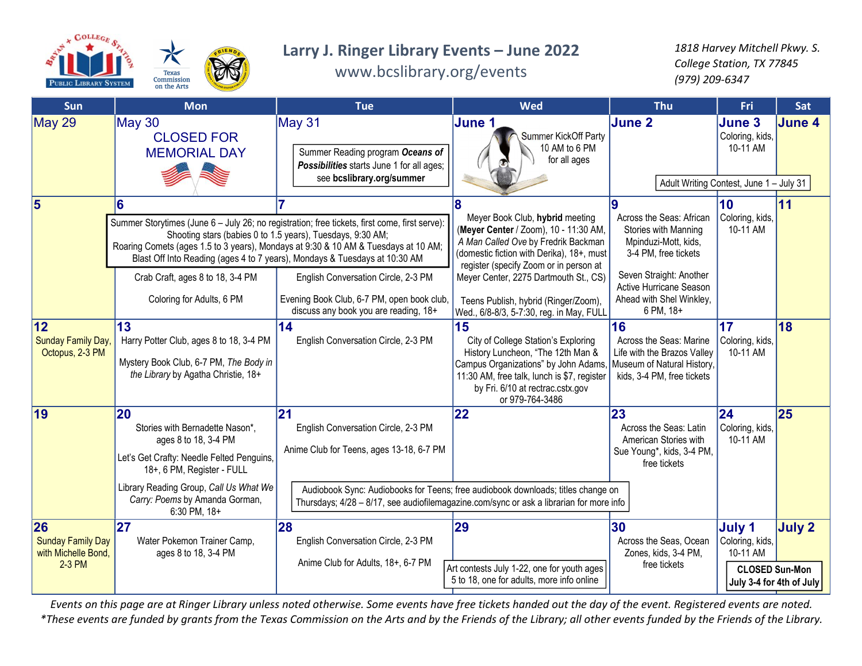

## Larry J. Ringer Library Events – June 2022

www.bcslibrary.org/events

1818 Harvey Mitchell Pkwy. S. College Station, TX 77845 (979) 209-6347

| Sun                                                             | <b>Mon</b>                                                                                                                                                                                                                               | <b>Tue</b>                                                                                                                                                                                                                                                                                                                                                                                                                                                    | Wed                                                                                                                                                                                                                                                                                                                                 | <b>Thu</b>                                                                                                                                                                                      | Fri                                                                                        | Sat           |
|-----------------------------------------------------------------|------------------------------------------------------------------------------------------------------------------------------------------------------------------------------------------------------------------------------------------|---------------------------------------------------------------------------------------------------------------------------------------------------------------------------------------------------------------------------------------------------------------------------------------------------------------------------------------------------------------------------------------------------------------------------------------------------------------|-------------------------------------------------------------------------------------------------------------------------------------------------------------------------------------------------------------------------------------------------------------------------------------------------------------------------------------|-------------------------------------------------------------------------------------------------------------------------------------------------------------------------------------------------|--------------------------------------------------------------------------------------------|---------------|
| May 29                                                          | <b>May 30</b><br><b>CLOSED FOR</b><br><b>MEMORIAL DAY</b>                                                                                                                                                                                | May 31<br>Summer Reading program Oceans of<br>Possibilities starts June 1 for all ages;<br>see bcslibrary.org/summer                                                                                                                                                                                                                                                                                                                                          | June 1<br>Summer KickOff Party<br>10 AM to 6 PM<br>for all ages                                                                                                                                                                                                                                                                     | June 2<br>Adult Writing Contest, June 1 - July 31                                                                                                                                               | June 3<br>Coloring, kids,<br>10-11 AM                                                      | <b>June 4</b> |
| 5                                                               | 6<br>Crab Craft, ages 8 to 18, 3-4 PM<br>Coloring for Adults, 6 PM                                                                                                                                                                       | Summer Storytimes (June 6 - July 26; no registration; free tickets, first come, first serve):<br>Shooting stars (babies 0 to 1.5 years), Tuesdays, 9:30 AM;<br>Roaring Comets (ages 1.5 to 3 years), Mondays at 9:30 & 10 AM & Tuesdays at 10 AM;<br>Blast Off Into Reading (ages 4 to 7 years), Mondays & Tuesdays at 10:30 AM<br>English Conversation Circle, 2-3 PM<br>Evening Book Club, 6-7 PM, open book club,<br>discuss any book you are reading, 18+ | Meyer Book Club, hybrid meeting<br>(Meyer Center / Zoom), 10 - 11:30 AM,<br>A Man Called Ove by Fredrik Backman<br>(domestic fiction with Derika), 18+, must<br>register (specify Zoom or in person at<br>Meyer Center, 2275 Dartmouth St., CS)<br>Teens Publish, hybrid (Ringer/Zoom),<br>Wed., 6/8-8/3, 5-7:30, reg. in May, FULL | Across the Seas: African<br>Stories with Manning<br>Mpinduzi-Mott, kids,<br>3-4 PM, free tickets<br>Seven Straight: Another<br>Active Hurricane Season<br>Ahead with Shel Winkley,<br>6 PM, 18+ | 10 <sup>°</sup><br>Coloring, kids,<br>10-11 AM                                             | 11            |
| 12<br>Sunday Family Day,<br>Octopus, 2-3 PM                     | 13<br>Harry Potter Club, ages 8 to 18, 3-4 PM<br>Mystery Book Club, 6-7 PM, The Body in<br>the Library by Agatha Christie, 18+                                                                                                           | 14<br>English Conversation Circle, 2-3 PM                                                                                                                                                                                                                                                                                                                                                                                                                     | 15<br>City of College Station's Exploring<br>History Luncheon, "The 12th Man &<br>Campus Organizations" by John Adams,<br>11:30 AM, free talk, lunch is \$7, register<br>by Fri. 6/10 at rectrac.cstx.gov<br>or 979-764-3486                                                                                                        | 16<br>Across the Seas: Marine<br>Life with the Brazos Valley<br>Museum of Natural History,<br>kids, 3-4 PM, free tickets                                                                        | 17<br>Coloring, kids,<br>10-11 AM                                                          | 18            |
| 19                                                              | 20<br>Stories with Bernadette Nason*,<br>ages 8 to 18, 3-4 PM<br>Let's Get Crafty: Needle Felted Penguins,<br>18+, 6 PM, Register - FULL<br>Library Reading Group, Call Us What We<br>Carry: Poems by Amanda Gorman,<br>$6:30$ PM, $18+$ | 21<br>English Conversation Circle, 2-3 PM<br>Anime Club for Teens, ages 13-18, 6-7 PM<br>Thursdays; 4/28 - 8/17, see audiofilemagazine.com/sync or ask a librarian for more info                                                                                                                                                                                                                                                                              | 22<br>Audiobook Sync: Audiobooks for Teens; free audiobook downloads; titles change on                                                                                                                                                                                                                                              | 23<br>Across the Seas: Latin<br>American Stories with<br>Sue Young*, kids, 3-4 PM,<br>free tickets                                                                                              | 24<br>Coloring, kids,<br>10-11 AM                                                          | 25            |
| 26<br><b>Sunday Family Day</b><br>with Michelle Bond,<br>2-3 PM | 27<br>Water Pokemon Trainer Camp,<br>ages 8 to 18, 3-4 PM                                                                                                                                                                                | 28<br>English Conversation Circle, 2-3 PM<br>Anime Club for Adults, 18+, 6-7 PM                                                                                                                                                                                                                                                                                                                                                                               | 29<br>Art contests July 1-22, one for youth ages<br>5 to 18, one for adults, more info online                                                                                                                                                                                                                                       | 30<br>Across the Seas, Ocean<br>Zones, kids, 3-4 PM,<br>free tickets                                                                                                                            | July 1<br>Coloring, kids,<br>10-11 AM<br><b>CLOSED Sun-Mon</b><br>July 3-4 for 4th of July | July 2        |

Events on this page are at Ringer Library unless noted otherwise. Some events have free tickets handed out the day of the event. Registered events are noted. \*These events are funded by grants from the Texas Commission on the Arts and by the Friends of the Library; all other events funded by the Friends of the Library.